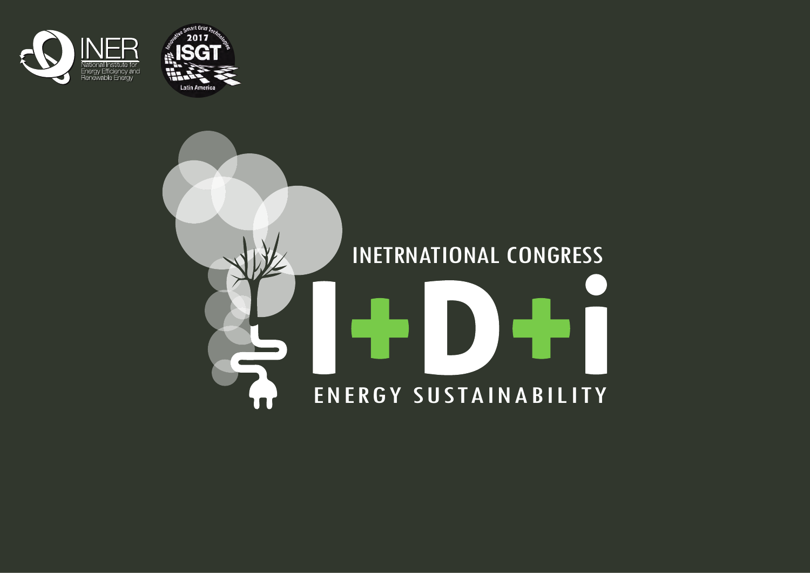



# INETRNATIONAL CONGRESS  $\blacksquare$ D) I ENERGY SUSTAINABILITY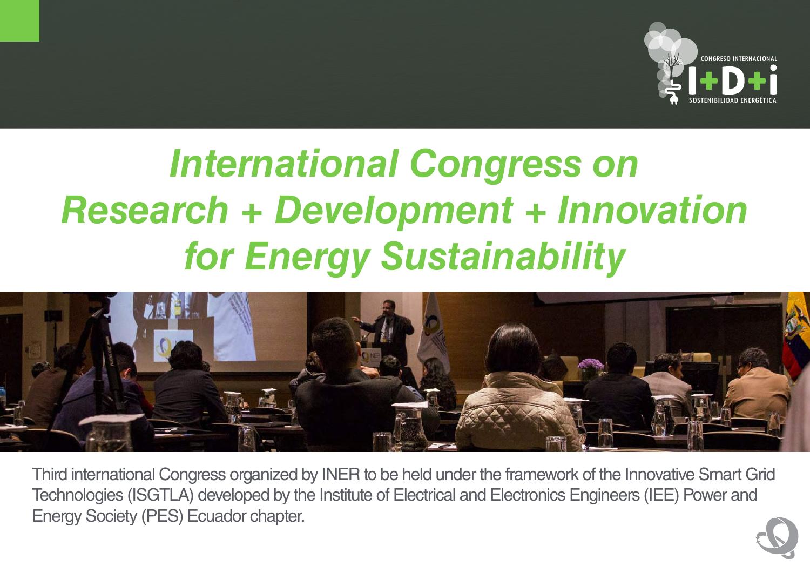

# *International Congress on Research + Development + Innovation for Energy Sustainability*



Third international Congress organized by INER to be held under the framework of the Innovative Smart Grid Technologies (ISGTLA) developed by the Institute of Electrical and Electronics Engineers (IEE) Power and Energy Society (PES) Ecuador chapter.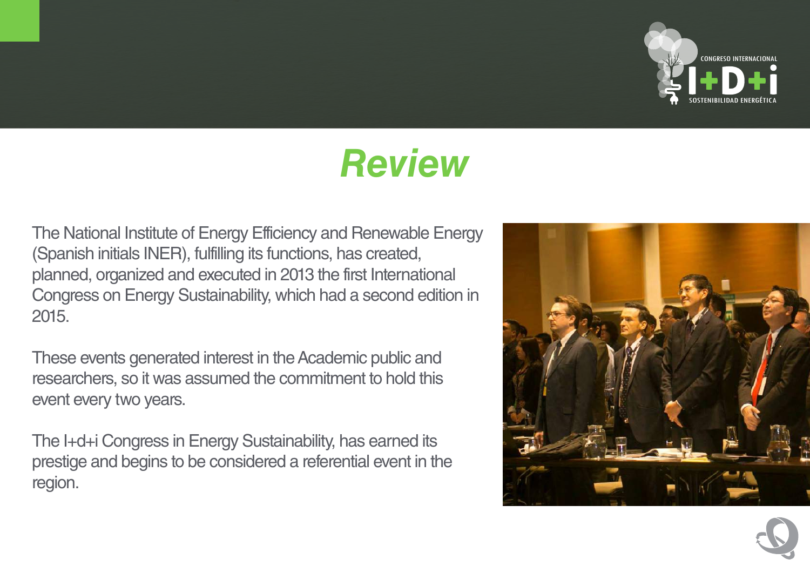

#### *Review*

The National Institute of Energy Efficiency and Renewable Energy (Spanish initials INER), fulfilling its functions, has created, planned, organized and executed in 2013 the first International Congress on Energy Sustainability, which had a second edition in 2015.

These events generated interest in the Academic public and researchers, so it was assumed the commitment to hold this event every two years.

The I+d+i Congress in Energy Sustainability, has earned its prestige and begins to be considered a referential event in the region.



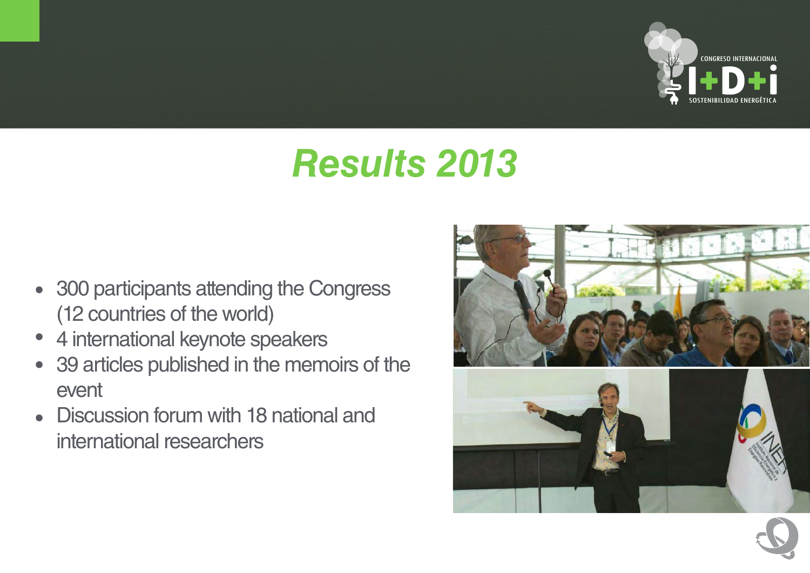

## *Results 2013*

- 300 participants attending the Congress (12 countries of the world)
- 4 international keynote speakers  $\bullet$
- 39 articles published in the memoirs of the event
- Discussion forum with 18 national and  $\bullet$ international researchers

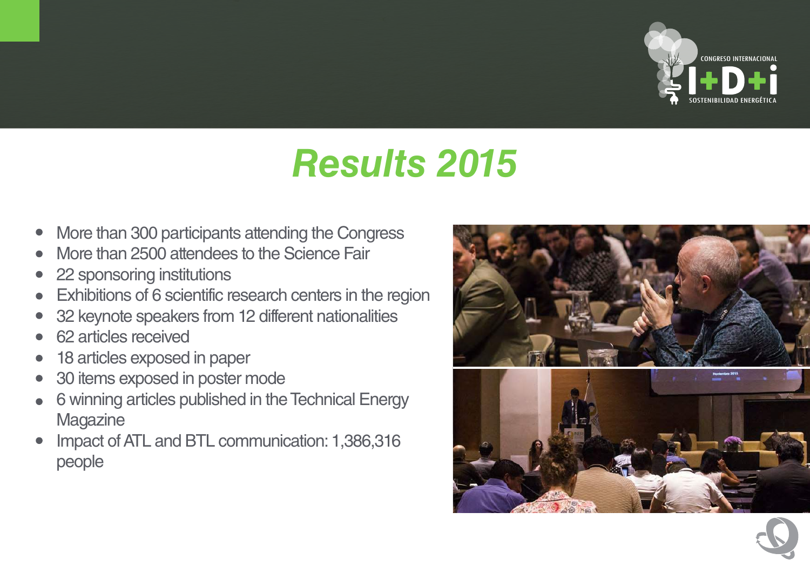

## *Results 2015*

- More than 300 participants attending the Congress  $\bullet$
- More than 2500 attendees to the Science Fair
- 22 sponsoring institutions  $\bullet$
- Exhibitions of 6 scientific research centers in the region  $\bullet$
- 32 keynote speakers from 12 different nationalities
- 62 articles received
- 18 articles exposed in paper  $\bullet$
- 30 items exposed in poster mode  $\bullet$
- 6 winning articles published in the Technical Energy  $\bullet$ **Magazine**
- Impact of ATL and BTL communication: 1,386,316  $\bullet$ people

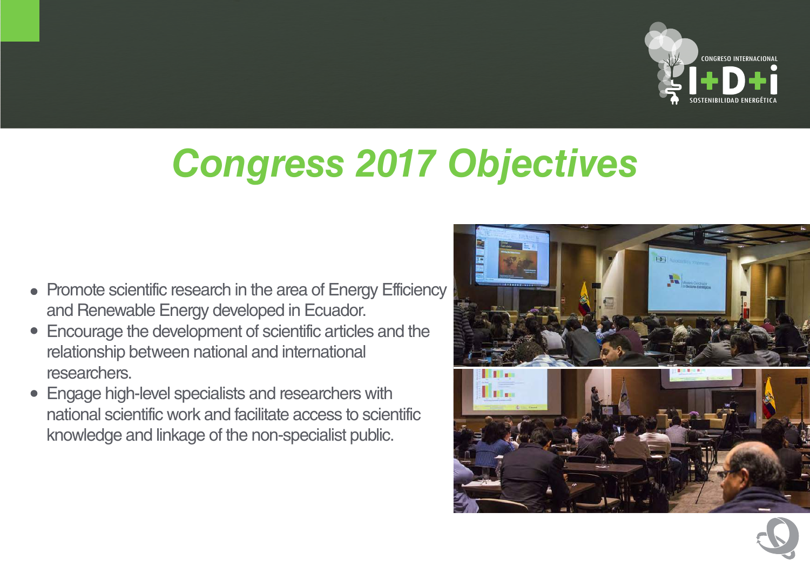

# *Congress 2017 Objectives*

- Promote scientific research in the area of Energy Efficiency and Renewable Energy developed in Ecuador.
- Encourage the development of scientific articles and the relationship between national and international researchers.
- Engage high-level specialists and researchers with national scientific work and facilitate access to scientific knowledge and linkage of the non-specialist public.

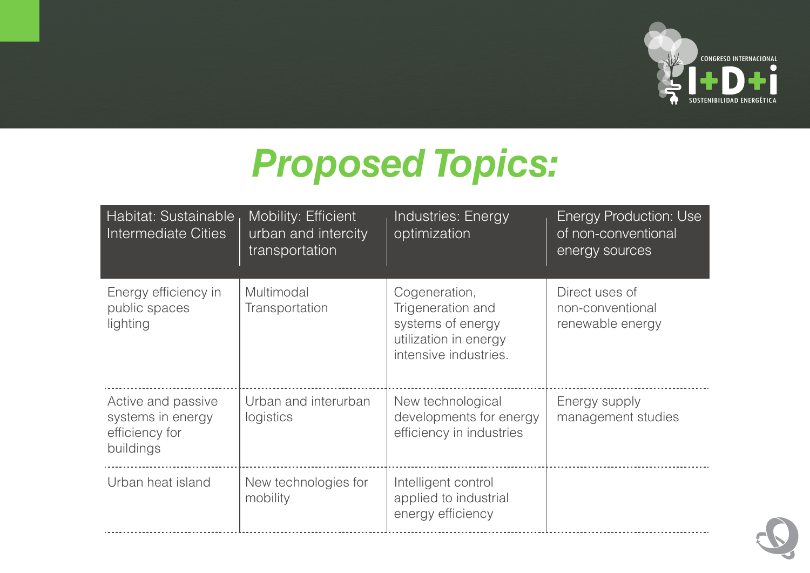

## *Proposed Topics:*

| Habitat: Sustainable<br>Intermediate Cities                            | <b>Mobility: Efficient</b><br>urban and intercity<br>transportation | Industries: Energy<br>optimization                                                                        | <b>Energy Production: Use</b><br>of non-conventional<br>energy sources |
|------------------------------------------------------------------------|---------------------------------------------------------------------|-----------------------------------------------------------------------------------------------------------|------------------------------------------------------------------------|
| Energy efficiency in<br>public spaces<br>lighting                      | Multimodal<br>Transportation                                        | Cogeneration,<br>Trigeneration and<br>systems of energy<br>utilization in energy<br>intensive industries. | Direct uses of<br>non-conventional<br>renewable energy                 |
| Active and passive<br>systems in energy<br>efficiency for<br>buildings | Urban and interurban<br>logistics                                   | New technological<br>developments for energy<br>efficiency in industries                                  | Energy supply<br>management studies                                    |
| Urban heat island                                                      | New technologies for<br>mobility                                    | Intelligent control<br>applied to industrial<br>energy efficiency                                         |                                                                        |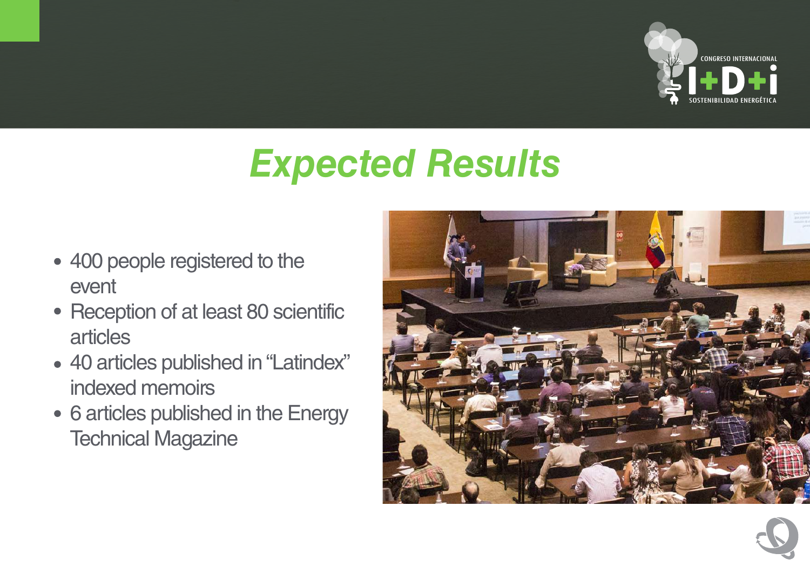

## *Expected Results*

- 400 people registered to the event
- Reception of at least 80 scientific articles
- 40 articles published in "Latindex" indexed memoirs
- 6 articles published in the Energy Technical Magazine

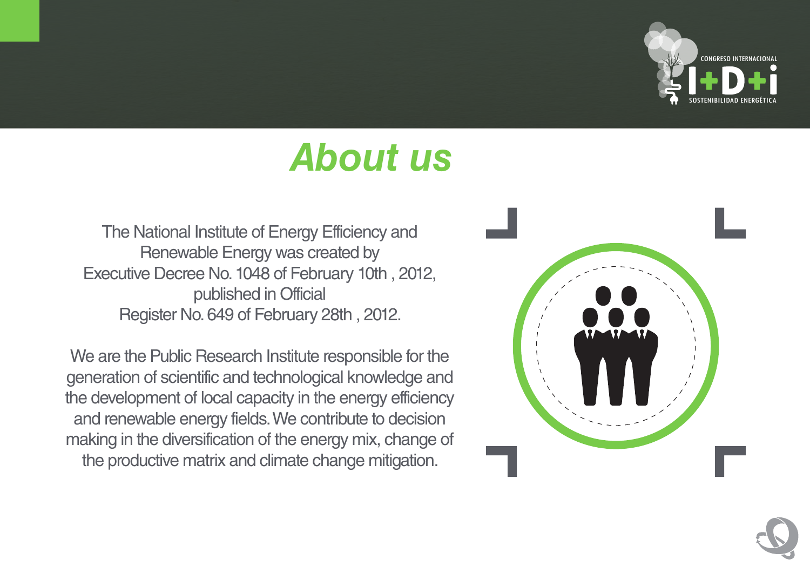

## *About us*

The National Institute of Energy Efficiency and Renewable Energy was created by Executive Decree No. 1048 of February 10th , 2012, published in Official Register No. 649 of February 28th , 2012.

We are the Public Research Institute responsible for the generation of scientific and technological knowledge and the development of local capacity in the energy efficiency and renewable energy fields. We contribute to decision making in the diversification of the energy mix, change of the productive matrix and climate change mitigation.



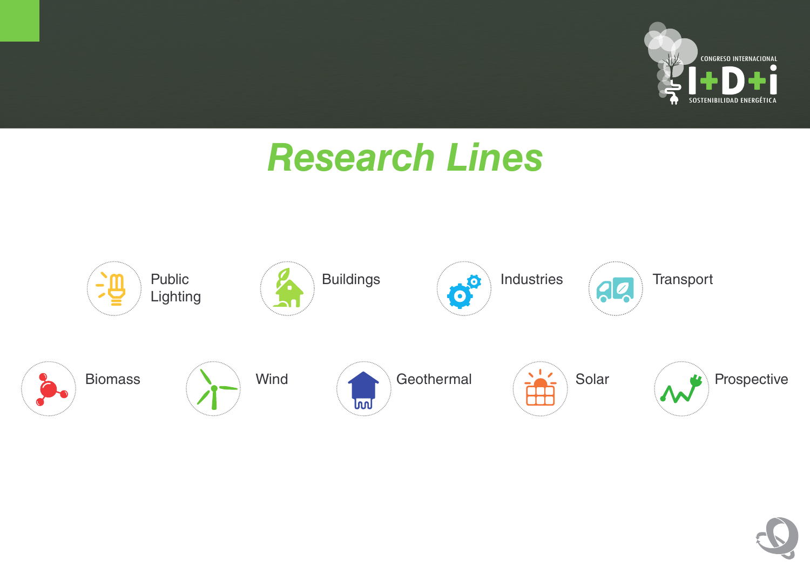

#### *Research Lines*



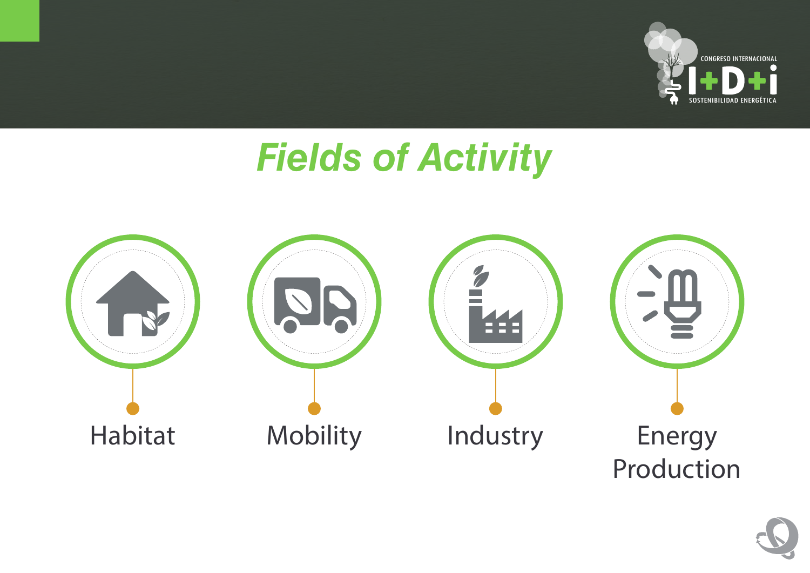

#### *Fields of Activity*



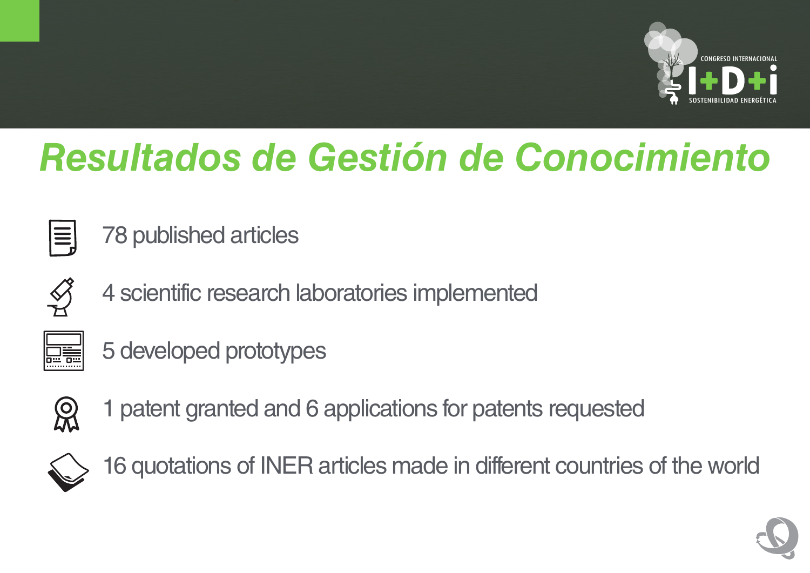

## *Resultados de Gestión de Conocimiento*



78 published articles



4 scientific research laboratories implemented

| .,<br>۳ |  |
|---------|--|
|         |  |

5 developed prototypes



1 patent granted and 6 applications for patents requested



16 quotations of INER articles made in different countries of the world